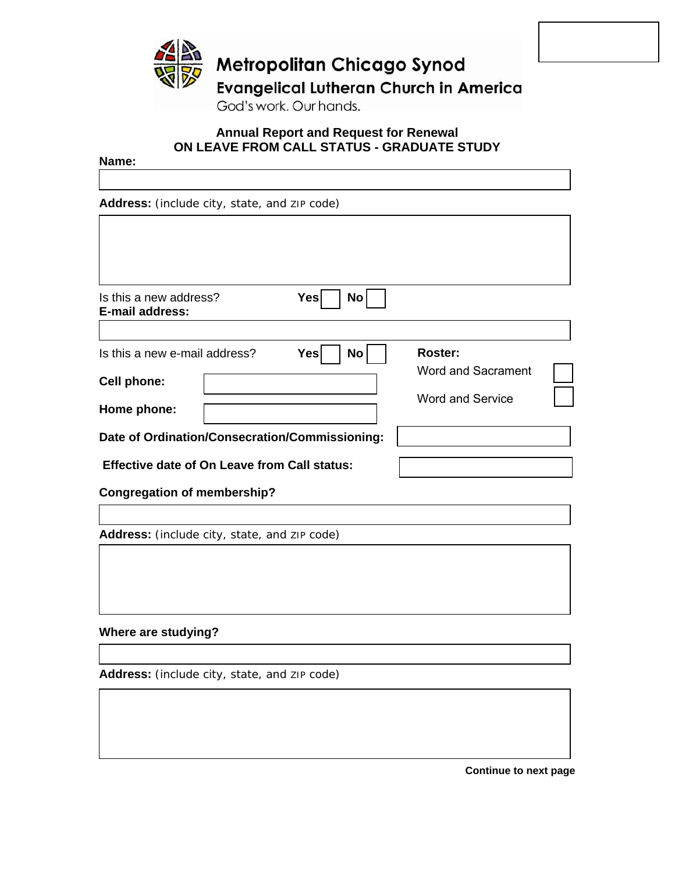

### **Annual Report and Request for Renewal ON LEAVE FROM CALL STATUS - GRADUATE STUDY**

**Name:**

**Address:** (include city, state, and ZIP code)

| Yes<br>No<br>Is this a new address?                 |                           |
|-----------------------------------------------------|---------------------------|
| <b>E-mail address:</b>                              |                           |
|                                                     |                           |
| Is this a new e-mail address?<br>Yes <br>No         | Roster:                   |
|                                                     | <b>Word and Sacrament</b> |
| <b>Cell phone:</b>                                  |                           |
| Home phone:                                         | <b>Word and Service</b>   |
|                                                     |                           |
| Date of Ordination/Consecration/Commissioning:      |                           |
| <b>Effective date of On Leave from Call status:</b> |                           |
| <b>Congregation of membership?</b>                  |                           |

**Address:** (include city, state, and ZIP code)

## **Where are studying?**

**Address:** (include city, state, and ZIP code)

**Continue to next page**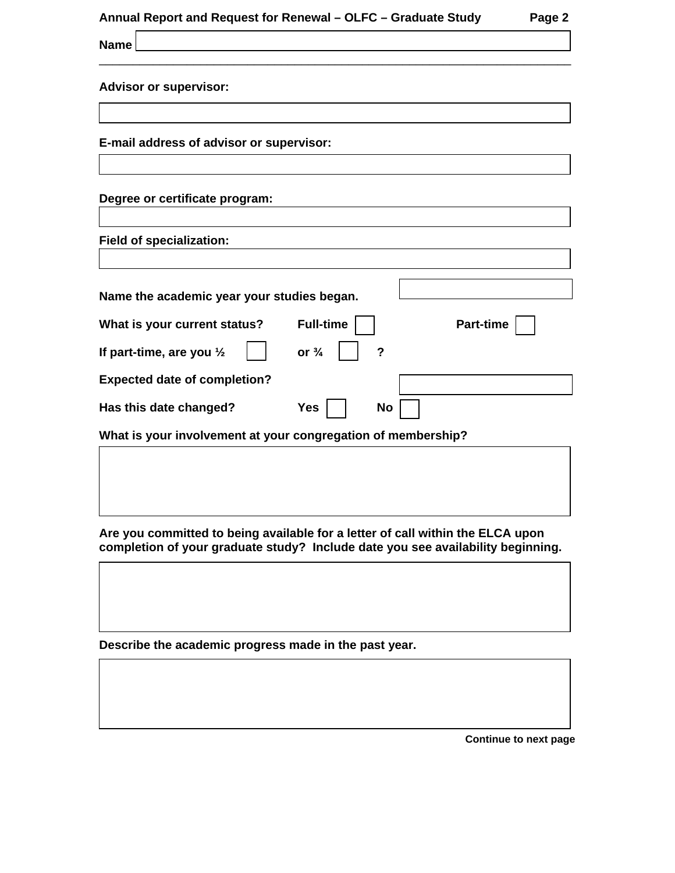| Annual Report and Request for Renewal – OLFC – Graduate Study |  |  |  |  |  | Page 2 |
|---------------------------------------------------------------|--|--|--|--|--|--------|
|---------------------------------------------------------------|--|--|--|--|--|--------|

\_\_\_\_\_\_\_\_\_\_\_\_\_\_\_\_\_\_\_\_\_\_\_\_\_\_\_\_\_\_\_\_\_\_\_\_\_\_\_\_\_\_\_\_\_\_\_\_\_\_\_\_\_\_\_\_\_\_\_\_\_\_\_\_\_\_\_\_\_\_

|  | <b>Advisor or supervisor:</b> |
|--|-------------------------------|
|  |                               |

**Name** 

**E-mail address of advisor or supervisor:** 

# **Degree or certificate program:**

**Field of specialization:**

| Name the academic year your studies began.                   |                  |                  |  |  |  |
|--------------------------------------------------------------|------------------|------------------|--|--|--|
| What is your current status?                                 | <b>Full-time</b> | <b>Part-time</b> |  |  |  |
| If part-time, are you $\frac{1}{2}$                          | or $\frac{3}{4}$ | ?                |  |  |  |
| <b>Expected date of completion?</b>                          |                  |                  |  |  |  |
| Has this date changed?                                       | Yes              | No               |  |  |  |
| What is your involvement at your congregation of membership? |                  |                  |  |  |  |

**Are you committed to being available for a letter of call within the ELCA upon completion of your graduate study? Include date you see availability beginning.** 

**Describe the academic progress made in the past year.** 

**Continue to next page**